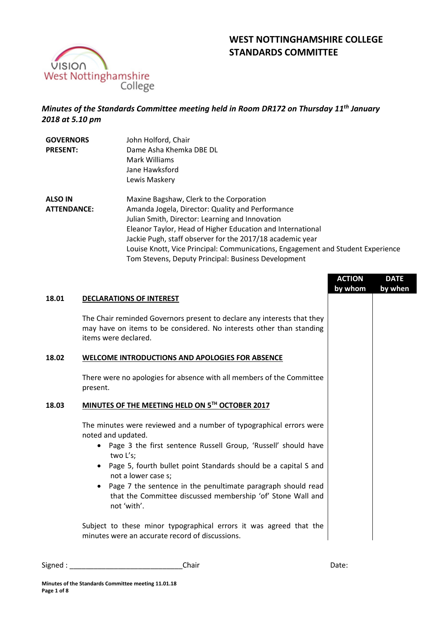



# *Minutes of the Standards Committee meeting held in Room DR172 on Thursday 11th January 2018 at 5.10 pm*

| <b>GOVERNORS</b>   | John Holford, Chair                                                             |
|--------------------|---------------------------------------------------------------------------------|
| <b>PRESENT:</b>    | Dame Asha Khemka DBE DL                                                         |
|                    | Mark Williams                                                                   |
|                    | Jane Hawksford                                                                  |
|                    | Lewis Maskery                                                                   |
| <b>ALSO IN</b>     | Maxine Bagshaw, Clerk to the Corporation                                        |
| <b>ATTENDANCE:</b> | Amanda Jogela, Director: Quality and Performance                                |
|                    | Julian Smith, Director: Learning and Innovation                                 |
|                    | Eleanor Taylor, Head of Higher Education and International                      |
|                    | Jackie Pugh, staff observer for the 2017/18 academic year                       |
|                    | Louise Knott, Vice Principal: Communications, Engagement and Student Experience |
|                    | Tom Stevens, Deputy Principal: Business Development                             |

|       |                                                                                                                                                                         | <b>ACTION</b><br>by whom | <b>DATE</b><br>by when |
|-------|-------------------------------------------------------------------------------------------------------------------------------------------------------------------------|--------------------------|------------------------|
| 18.01 | <b>DECLARATIONS OF INTEREST</b>                                                                                                                                         |                          |                        |
|       | The Chair reminded Governors present to declare any interests that they<br>may have on items to be considered. No interests other than standing<br>items were declared. |                          |                        |
| 18.02 | <b>WELCOME INTRODUCTIONS AND APOLOGIES FOR ABSENCE</b>                                                                                                                  |                          |                        |
|       | There were no apologies for absence with all members of the Committee<br>present.                                                                                       |                          |                        |
| 18.03 | MINUTES OF THE MEETING HELD ON 5TH OCTOBER 2017                                                                                                                         |                          |                        |
|       | The minutes were reviewed and a number of typographical errors were<br>noted and updated.                                                                               |                          |                        |
|       | Page 3 the first sentence Russell Group, 'Russell' should have<br>two L's;                                                                                              |                          |                        |
|       | Page 5, fourth bullet point Standards should be a capital S and<br>not a lower case s;                                                                                  |                          |                        |
|       | Page 7 the sentence in the penultimate paragraph should read<br>that the Committee discussed membership 'of' Stone Wall and<br>not 'with'.                              |                          |                        |
|       | Subject to these minor typographical errors it was agreed that the<br>minutes were an accurate record of discussions.                                                   |                          |                        |

Signed : \_\_\_\_\_\_\_\_\_\_\_\_\_\_\_\_\_\_\_\_\_\_\_\_\_\_\_\_Chair Date: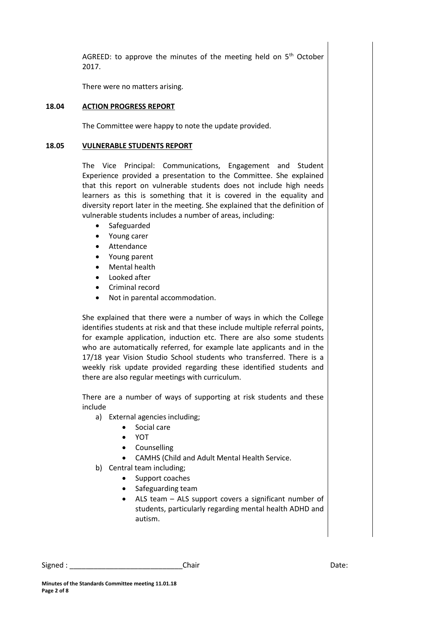AGREED: to approve the minutes of the meeting held on 5<sup>th</sup> October 2017.

There were no matters arising.

# **18.04 ACTION PROGRESS REPORT**

The Committee were happy to note the update provided.

# **18.05 VULNERABLE STUDENTS REPORT**

The Vice Principal: Communications, Engagement and Student Experience provided a presentation to the Committee. She explained that this report on vulnerable students does not include high needs learners as this is something that it is covered in the equality and diversity report later in the meeting. She explained that the definition of vulnerable students includes a number of areas, including:

- Safeguarded
- Young carer
- Attendance
- Young parent
- Mental health
- Looked after
- Criminal record
- Not in parental accommodation.

She explained that there were a number of ways in which the College identifies students at risk and that these include multiple referral points, for example application, induction etc. There are also some students who are automatically referred, for example late applicants and in the 17/18 year Vision Studio School students who transferred. There is a weekly risk update provided regarding these identified students and there are also regular meetings with curriculum.

There are a number of ways of supporting at risk students and these include

- a) External agencies including;
	- Social care
	- YOT
	- Counselling
	- CAMHS (Child and Adult Mental Health Service.
- b) Central team including;
	- Support coaches
	- Safeguarding team
	- ALS team ALS support covers a significant number of students, particularly regarding mental health ADHD and autism.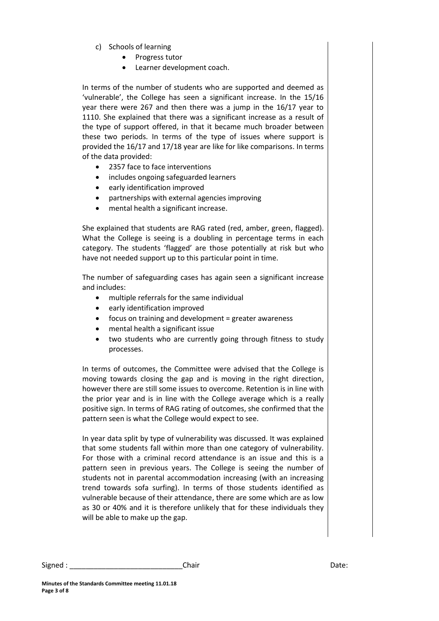- c) Schools of learning
	- Progress tutor
	- Learner development coach.

In terms of the number of students who are supported and deemed as 'vulnerable', the College has seen a significant increase. In the 15/16 year there were 267 and then there was a jump in the 16/17 year to 1110. She explained that there was a significant increase as a result of the type of support offered, in that it became much broader between these two periods. In terms of the type of issues where support is provided the 16/17 and 17/18 year are like for like comparisons. In terms of the data provided:

- 2357 face to face interventions
- includes ongoing safeguarded learners
- early identification improved
- partnerships with external agencies improving
- mental health a significant increase.

She explained that students are RAG rated (red, amber, green, flagged). What the College is seeing is a doubling in percentage terms in each category. The students 'flagged' are those potentially at risk but who have not needed support up to this particular point in time.

The number of safeguarding cases has again seen a significant increase and includes:

- multiple referrals for the same individual
- early identification improved
- focus on training and development = greater awareness
- mental health a significant issue
- two students who are currently going through fitness to study processes.

In terms of outcomes, the Committee were advised that the College is moving towards closing the gap and is moving in the right direction, however there are still some issues to overcome. Retention is in line with the prior year and is in line with the College average which is a really positive sign. In terms of RAG rating of outcomes, she confirmed that the pattern seen is what the College would expect to see.

In year data split by type of vulnerability was discussed. It was explained that some students fall within more than one category of vulnerability. For those with a criminal record attendance is an issue and this is a pattern seen in previous years. The College is seeing the number of students not in parental accommodation increasing (with an increasing trend towards sofa surfing). In terms of those students identified as vulnerable because of their attendance, there are some which are as low as 30 or 40% and it is therefore unlikely that for these individuals they will be able to make up the gap.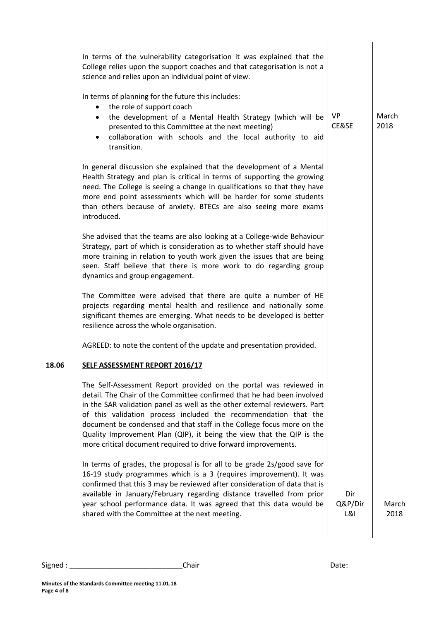|       | In terms of the vulnerability categorisation it was explained that the<br>College relies upon the support coaches and that categorisation is not a<br>science and relies upon an individual point of view.                                                                                                                                                                                                                                                                                                      |                                  |               |
|-------|-----------------------------------------------------------------------------------------------------------------------------------------------------------------------------------------------------------------------------------------------------------------------------------------------------------------------------------------------------------------------------------------------------------------------------------------------------------------------------------------------------------------|----------------------------------|---------------|
|       | In terms of planning for the future this includes:<br>the role of support coach<br>$\bullet$<br>the development of a Mental Health Strategy (which will be<br>$\bullet$<br>presented to this Committee at the next meeting)<br>collaboration with schools and the local authority to aid<br>$\bullet$<br>transition.                                                                                                                                                                                            | <b>VP</b><br>CE&SE               | March<br>2018 |
|       | In general discussion she explained that the development of a Mental<br>Health Strategy and plan is critical in terms of supporting the growing<br>need. The College is seeing a change in qualifications so that they have<br>more end point assessments which will be harder for some students<br>than others because of anxiety. BTECs are also seeing more exams<br>introduced.                                                                                                                             |                                  |               |
|       | She advised that the teams are also looking at a College-wide Behaviour<br>Strategy, part of which is consideration as to whether staff should have<br>more training in relation to youth work given the issues that are being<br>seen. Staff believe that there is more work to do regarding group<br>dynamics and group engagement.                                                                                                                                                                           |                                  |               |
|       | The Committee were advised that there are quite a number of HE<br>projects regarding mental health and resilience and nationally some<br>significant themes are emerging. What needs to be developed is better<br>resilience across the whole organisation.                                                                                                                                                                                                                                                     |                                  |               |
|       | AGREED: to note the content of the update and presentation provided.                                                                                                                                                                                                                                                                                                                                                                                                                                            |                                  |               |
| 18.06 | <b>SELF ASSESSMENT REPORT 2016/17</b>                                                                                                                                                                                                                                                                                                                                                                                                                                                                           |                                  |               |
|       | The Self-Assessment Report provided on the portal was reviewed in<br>detail. The Chair of the Committee confirmed that he had been involved<br>in the SAR validation panel as well as the other external reviewers. Part<br>of this validation process included the recommendation that the<br>document be condensed and that staff in the College focus more on the<br>Quality Improvement Plan (QIP), it being the view that the QIP is the<br>more critical document required to drive forward improvements. |                                  |               |
|       | In terms of grades, the proposal is for all to be grade 2s/good save for<br>16-19 study programmes which is a 3 (requires improvement). It was<br>confirmed that this 3 may be reviewed after consideration of data that is<br>available in January/February regarding distance travelled from prior<br>year school performance data. It was agreed that this data would be<br>shared with the Committee at the next meeting.                                                                                   | Dir<br>Q&P/Dir<br><b>L&amp;I</b> | March<br>2018 |
|       |                                                                                                                                                                                                                                                                                                                                                                                                                                                                                                                 |                                  |               |

Signed : \_\_\_\_\_\_\_\_\_\_\_\_\_\_\_\_\_\_\_\_\_\_\_\_\_\_\_\_Chair Date: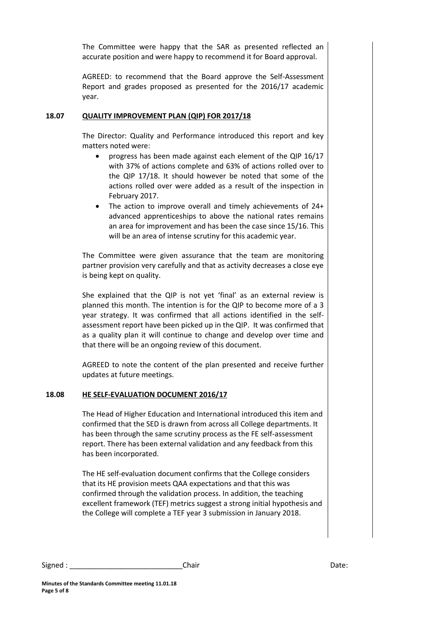The Committee were happy that the SAR as presented reflected an accurate position and were happy to recommend it for Board approval.

AGREED: to recommend that the Board approve the Self-Assessment Report and grades proposed as presented for the 2016/17 academic year.

# **18.07 QUALITY IMPROVEMENT PLAN (QIP) FOR 2017/18**

The Director: Quality and Performance introduced this report and key matters noted were:

- progress has been made against each element of the QIP 16/17 with 37% of actions complete and 63% of actions rolled over to the QIP 17/18. It should however be noted that some of the actions rolled over were added as a result of the inspection in February 2017.
- The action to improve overall and timely achievements of 24+ advanced apprenticeships to above the national rates remains an area for improvement and has been the case since 15/16. This will be an area of intense scrutiny for this academic year.

The Committee were given assurance that the team are monitoring partner provision very carefully and that as activity decreases a close eye is being kept on quality.

She explained that the QIP is not yet 'final' as an external review is planned this month. The intention is for the QIP to become more of a 3 year strategy. It was confirmed that all actions identified in the selfassessment report have been picked up in the QIP. It was confirmed that as a quality plan it will continue to change and develop over time and that there will be an ongoing review of this document.

AGREED to note the content of the plan presented and receive further updates at future meetings.

# **18.08 HE SELF-EVALUATION DOCUMENT 2016/17**

The Head of Higher Education and International introduced this item and confirmed that the SED is drawn from across all College departments. It has been through the same scrutiny process as the FE self-assessment report. There has been external validation and any feedback from this has been incorporated.

The HE self-evaluation document confirms that the College considers that its HE provision meets QAA expectations and that this was confirmed through the validation process. In addition, the teaching excellent framework (TEF) metrics suggest a strong initial hypothesis and the College will complete a TEF year 3 submission in January 2018.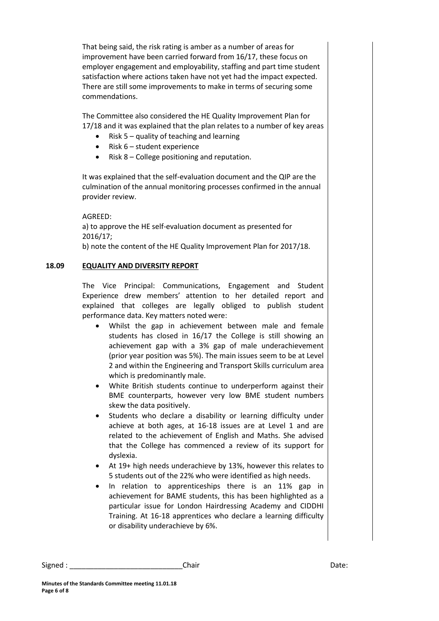That being said, the risk rating is amber as a number of areas for improvement have been carried forward from 16/17, these focus on employer engagement and employability, staffing and part time student satisfaction where actions taken have not yet had the impact expected. There are still some improvements to make in terms of securing some commendations.

The Committee also considered the HE Quality Improvement Plan for 17/18 and it was explained that the plan relates to a number of key areas

- Risk  $5 -$  quality of teaching and learning
- Risk  $6 -$  student experience
- $\bullet$  Risk 8 College positioning and reputation.

It was explained that the self-evaluation document and the QIP are the culmination of the annual monitoring processes confirmed in the annual provider review.

AGREED:

a) to approve the HE self-evaluation document as presented for 2016/17;

b) note the content of the HE Quality Improvement Plan for 2017/18.

# **18.09 EQUALITY AND DIVERSITY REPORT**

The Vice Principal: Communications, Engagement and Student Experience drew members' attention to her detailed report and explained that colleges are legally obliged to publish student performance data. Key matters noted were:

- Whilst the gap in achievement between male and female students has closed in 16/17 the College is still showing an achievement gap with a 3% gap of male underachievement (prior year position was 5%). The main issues seem to be at Level 2 and within the Engineering and Transport Skills curriculum area which is predominantly male.
- White British students continue to underperform against their BME counterparts, however very low BME student numbers skew the data positively.
- Students who declare a disability or learning difficulty under achieve at both ages, at 16-18 issues are at Level 1 and are related to the achievement of English and Maths. She advised that the College has commenced a review of its support for dyslexia.
- At 19+ high needs underachieve by 13%, however this relates to 5 students out of the 22% who were identified as high needs.
- In relation to apprenticeships there is an 11% gap in achievement for BAME students, this has been highlighted as a particular issue for London Hairdressing Academy and CIDDHI Training. At 16-18 apprentices who declare a learning difficulty or disability underachieve by 6%.